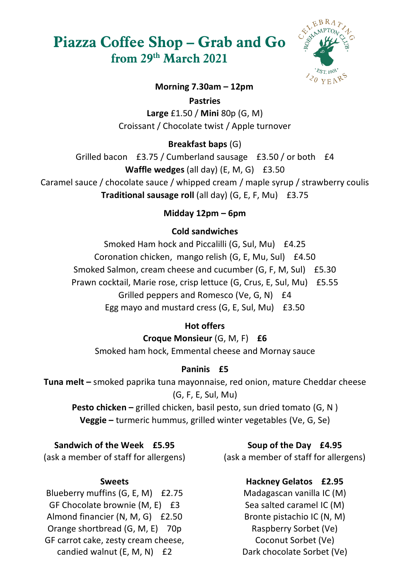# **Piazza Coffee Shop – Grab and Go from 29th March 2021**



#### **Morning 7.30am – 12pm**

**Pastries**

**Large** £1.50 / **Mini** 80p (G, M) Croissant / Chocolate twist / Apple turnover

## **Breakfast baps** (G)

Grilled bacon £3.75 / Cumberland sausage £3.50 / or both £4 **Waffle wedges** (all day) (E, M, G) £3.50

Caramel sauce / chocolate sauce / whipped cream / maple syrup / strawberry coulis **Traditional sausage roll** (all day) (G, E, F, Mu) £3.75

## **Midday 12pm – 6pm**

## **Cold sandwiches**

Smoked Ham hock and Piccalilli (G, Sul, Mu) £4.25 Coronation chicken, mango relish (G, E, Mu, Sul) £4.50 Smoked Salmon, cream cheese and cucumber (G, F, M, Sul) £5.30 Prawn cocktail, Marie rose, crisp lettuce (G, Crus, E, Sul, Mu) £5.55 Grilled peppers and Romesco (Ve, G, N) £4 Egg mayo and mustard cress (G, E, Sul, Mu) £3.50

## **Hot offers**

**Croque Monsieur** (G, M, F) **£6** Smoked ham hock, Emmental cheese and Mornay sauce

# **Paninis £5**

**Tuna melt –** smoked paprika tuna mayonnaise, red onion, mature Cheddar cheese (G, F, E, Sul, Mu)

**Pesto chicken –** grilled chicken, basil pesto, sun dried tomato (G, N ) **Veggie –** turmeric hummus, grilled winter vegetables (Ve, G, Se)

## **Sandwich of the Week £5.95**

(ask a member of staff for allergens)

#### **Sweets**

Blueberry muffins (G, E, M) £2.75 GF Chocolate brownie (M, E) £3 Almond financier (N, M, G) £2.50 Orange shortbread (G, M, E) 70p GF carrot cake, zesty cream cheese, candied walnut (E, M, N) £2

#### **Soup of the Day £4.95**

(ask a member of staff for allergens)

## **Hackney Gelatos £2.95**

Madagascan vanilla IC (M) Sea salted caramel IC (M) Bronte pistachio IC (N, M) Raspberry Sorbet (Ve) Coconut Sorbet (Ve) Dark chocolate Sorbet (Ve)